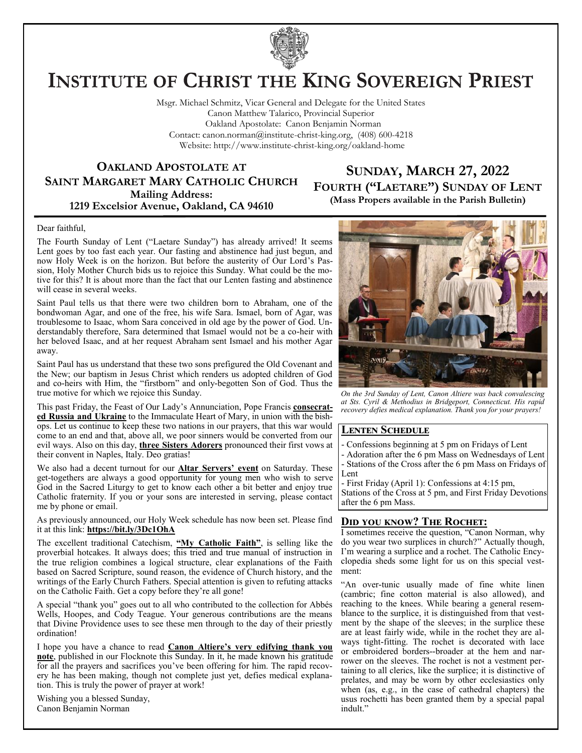

# **INSTITUTE OF CHRIST THE KING SOVEREIGN PRIEST**

Msgr. Michael Schmitz, Vicar General and Delegate for the United States Canon Matthew Talarico, Provincial Superior Oakland Apostolate: Canon Benjamin Norman Contact: canon.norman@institute-christ-king.org, (408) 600-4218 Website: http://www.institute-christ-king.org/oakland-home

### **OAKLAND APOSTOLATE AT SAINT MARGARET MARY CATHOLIC CHURCH Mailing Address: 1219 Excelsior Avenue, Oakland, CA 94610**

### **SUNDAY, MARCH 27, 2022 FOURTH ("LAETARE") SUNDAY OF LENT (Mass Propers available in the Parish Bulletin)**

#### Dear faithful,

The Fourth Sunday of Lent ("Laetare Sunday") has already arrived! It seems Lent goes by too fast each year. Our fasting and abstinence had just begun, and now Holy Week is on the horizon. But before the austerity of Our Lord's Passion, Holy Mother Church bids us to rejoice this Sunday. What could be the motive for this? It is about more than the fact that our Lenten fasting and abstinence will cease in several weeks.

Saint Paul tells us that there were two children born to Abraham, one of the bondwoman Agar, and one of the free, his wife Sara. Ismael, born of Agar, was troublesome to Isaac, whom Sara conceived in old age by the power of God. Understandably therefore, Sara determined that Ismael would not be a co-heir with her beloved Isaac, and at her request Abraham sent Ismael and his mother Agar away.

Saint Paul has us understand that these two sons prefigured the Old Covenant and the New; our baptism in Jesus Christ which renders us adopted children of God and co-heirs with Him, the "firstborn" and only-begotten Son of God. Thus the true motive for which we rejoice this Sunday.

This past Friday, the Feast of Our Lady's Annunciation, Pope Francis **consecrated Russia and Ukraine** to the Immaculate Heart of Mary, in union with the bishops. Let us continue to keep these two nations in our prayers, that this war would come to an end and that, above all, we poor sinners would be converted from our evil ways. Also on this day, **three Sisters Adorers** pronounced their first vows at their convent in Naples, Italy. Deo gratias!

We also had a decent turnout for our **Altar Servers' event** on Saturday. These get-togethers are always a good opportunity for young men who wish to serve God in the Sacred Liturgy to get to know each other a bit better and enjoy true Catholic fraternity. If you or your sons are interested in serving, please contact me by phone or email.

As previously announced, our Holy Week schedule has now been set. Please find it at this link: **https://bit.ly/3Dc1OhA**

The excellent traditional Catechism, **"My Catholic Faith"**, is selling like the proverbial hotcakes. It always does; this tried and true manual of instruction in the true religion combines a logical structure, clear explanations of the Faith based on Sacred Scripture, sound reason, the evidence of Church history, and the writings of the Early Church Fathers. Special attention is given to refuting attacks on the Catholic Faith. Get a copy before they're all gone!

A special "thank you" goes out to all who contributed to the collection for Abbés Wells, Hoopes, and Cody Teague. Your generous contributions are the means that Divine Providence uses to see these men through to the day of their priestly ordination!

I hope you have a chance to read **Canon Altiere's very edifying thank you note**, published in our Flocknote this Sunday. In it, he made known his gratitude for all the prayers and sacrifices you've been offering for him. The rapid recovery he has been making, though not complete just yet, defies medical explanation. This is truly the power of prayer at work!

Wishing you a blessed Sunday, Canon Benjamin Norman



*On the 3rd Sunday of Lent, Canon Altiere was back convalescing at Sts. Cyril & Methodius in Bridgeport, Connecticut. His rapid recovery defies medical explanation. Thank you for your prayers!*

### **Lenten Schedule**

- Confessions beginning at 5 pm on Fridays of Lent
- Adoration after the 6 pm Mass on Wednesdays of Lent - Stations of the Cross after the 6 pm Mass on Fridays of Lent
- First Friday (April 1): Confessions at 4:15 pm,

Stations of the Cross at 5 pm, and First Friday Devotions after the 6 pm Mass.

### **Did you know? The Rochet:**

I sometimes receive the question, "Canon Norman, why do you wear two surplices in church?" Actually though, I'm wearing a surplice and a rochet. The Catholic Encyclopedia sheds some light for us on this special vestment:

"An over-tunic usually made of fine white linen (cambric; fine cotton material is also allowed), and reaching to the knees. While bearing a general resemblance to the surplice, it is distinguished from that vestment by the shape of the sleeves; in the surplice these are at least fairly wide, while in the rochet they are always tight-fitting. The rochet is decorated with lace or embroidered borders--broader at the hem and narrower on the sleeves. The rochet is not a vestment pertaining to all clerics, like the surplice; it is distinctive of prelates, and may be worn by other ecclesiastics only when (as, e.g., in the case of cathedral chapters) the usus rochetti has been granted them by a special papal indult."